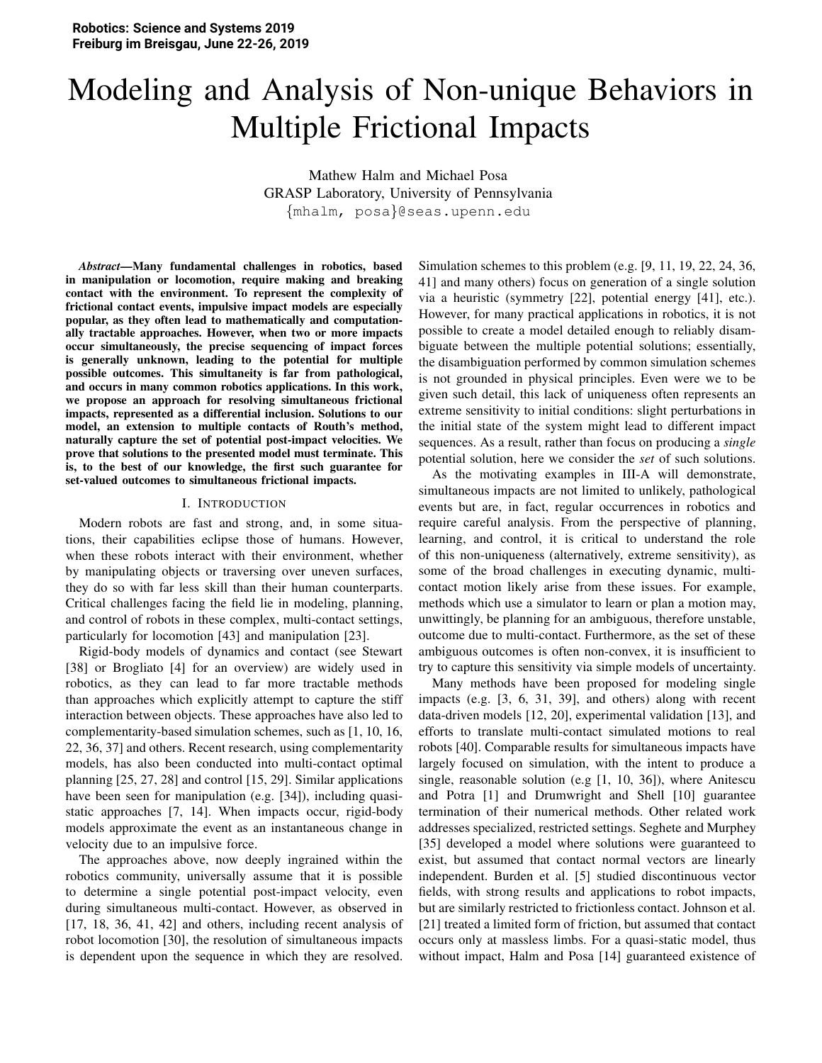# Modeling and Analysis of Non-unique Behaviors in Multiple Frictional Impacts

Mathew Halm and Michael Posa GRASP Laboratory, University of Pennsylvania {mhalm, posa}@seas.upenn.edu

*Abstract*—Many fundamental challenges in robotics, based in manipulation or locomotion, require making and breaking contact with the environment. To represent the complexity of frictional contact events, impulsive impact models are especially popular, as they often lead to mathematically and computationally tractable approaches. However, when two or more impacts occur simultaneously, the precise sequencing of impact forces is generally unknown, leading to the potential for multiple possible outcomes. This simultaneity is far from pathological, and occurs in many common robotics applications. In this work, we propose an approach for resolving simultaneous frictional impacts, represented as a differential inclusion. Solutions to our model, an extension to multiple contacts of Routh's method, naturally capture the set of potential post-impact velocities. We prove that solutions to the presented model must terminate. This is, to the best of our knowledge, the first such guarantee for set-valued outcomes to simultaneous frictional impacts.

#### I. INTRODUCTION

Modern robots are fast and strong, and, in some situations, their capabilities eclipse those of humans. However, when these robots interact with their environment, whether by manipulating objects or traversing over uneven surfaces, they do so with far less skill than their human counterparts. Critical challenges facing the field lie in modeling, planning, and control of robots in these complex, multi-contact settings, particularly for locomotion [43] and manipulation [23].

Rigid-body models of dynamics and contact (see Stewart [38] or Brogliato [4] for an overview) are widely used in robotics, as they can lead to far more tractable methods than approaches which explicitly attempt to capture the stiff interaction between objects. These approaches have also led to complementarity-based simulation schemes, such as [1, 10, 16, 22, 36, 37] and others. Recent research, using complementarity models, has also been conducted into multi-contact optimal planning [25, 27, 28] and control [15, 29]. Similar applications have been seen for manipulation (e.g. [34]), including quasistatic approaches [7, 14]. When impacts occur, rigid-body models approximate the event as an instantaneous change in velocity due to an impulsive force.

The approaches above, now deeply ingrained within the robotics community, universally assume that it is possible to determine a single potential post-impact velocity, even during simultaneous multi-contact. However, as observed in [17, 18, 36, 41, 42] and others, including recent analysis of robot locomotion [30], the resolution of simultaneous impacts is dependent upon the sequence in which they are resolved. Simulation schemes to this problem (e.g. [9, 11, 19, 22, 24, 36, 41] and many others) focus on generation of a single solution via a heuristic (symmetry [22], potential energy [41], etc.). However, for many practical applications in robotics, it is not possible to create a model detailed enough to reliably disambiguate between the multiple potential solutions; essentially, the disambiguation performed by common simulation schemes is not grounded in physical principles. Even were we to be given such detail, this lack of uniqueness often represents an extreme sensitivity to initial conditions: slight perturbations in the initial state of the system might lead to different impact sequences. As a result, rather than focus on producing a *single* potential solution, here we consider the *set* of such solutions.

As the motivating examples in III-A will demonstrate, simultaneous impacts are not limited to unlikely, pathological events but are, in fact, regular occurrences in robotics and require careful analysis. From the perspective of planning, learning, and control, it is critical to understand the role of this non-uniqueness (alternatively, extreme sensitivity), as some of the broad challenges in executing dynamic, multicontact motion likely arise from these issues. For example, methods which use a simulator to learn or plan a motion may, unwittingly, be planning for an ambiguous, therefore unstable, outcome due to multi-contact. Furthermore, as the set of these ambiguous outcomes is often non-convex, it is insufficient to try to capture this sensitivity via simple models of uncertainty.

Many methods have been proposed for modeling single impacts (e.g. [3, 6, 31, 39], and others) along with recent data-driven models [12, 20], experimental validation [13], and efforts to translate multi-contact simulated motions to real robots [40]. Comparable results for simultaneous impacts have largely focused on simulation, with the intent to produce a single, reasonable solution (e.g [1, 10, 36]), where Anitescu and Potra [1] and Drumwright and Shell [10] guarantee termination of their numerical methods. Other related work addresses specialized, restricted settings. Seghete and Murphey [35] developed a model where solutions were guaranteed to exist, but assumed that contact normal vectors are linearly independent. Burden et al. [5] studied discontinuous vector fields, with strong results and applications to robot impacts, but are similarly restricted to frictionless contact. Johnson et al. [21] treated a limited form of friction, but assumed that contact occurs only at massless limbs. For a quasi-static model, thus without impact, Halm and Posa [14] guaranteed existence of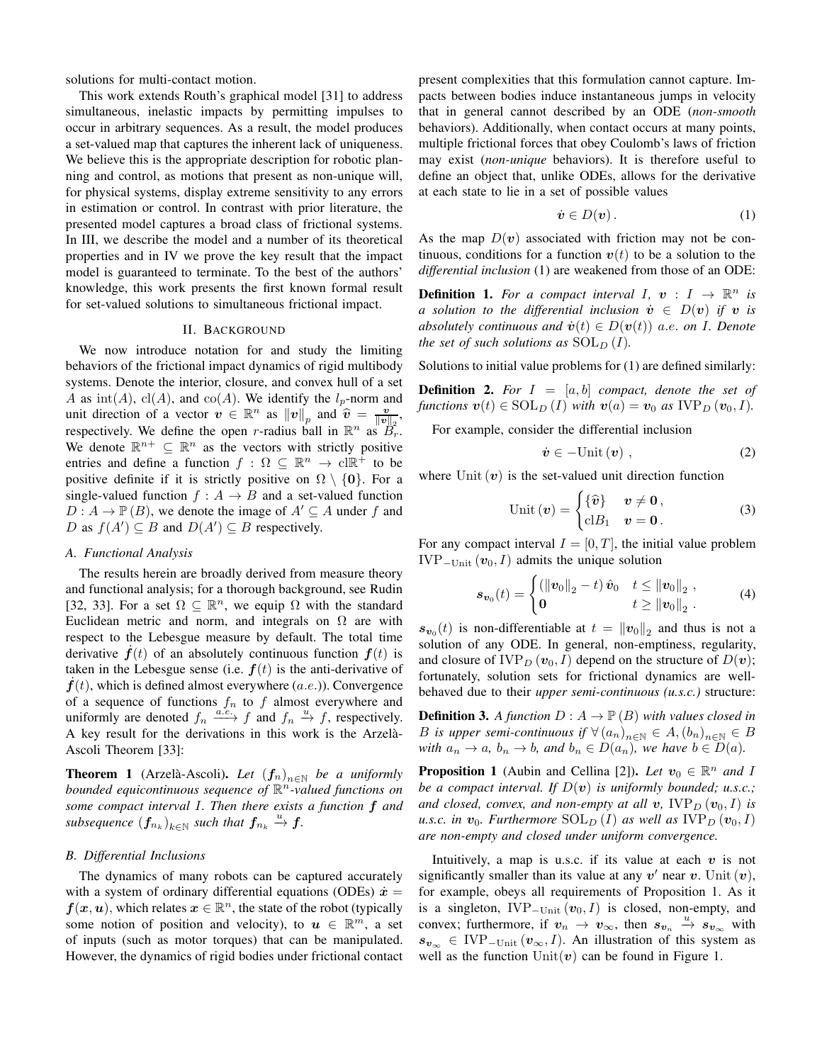solutions for multi-contact motion.

This work extends Routh's graphical model [31] to address simultaneous, inelastic impacts by permitting impulses to occur in arbitrary sequences. As a result, the model produces a set-valued map that captures the inherent lack of uniqueness. We believe this is the appropriate description for robotic planning and control, as motions that present as non-unique will, for physical systems, display extreme sensitivity to any errors in estimation or control. In contrast with prior literature, the presented model captures a broad class of frictional systems. In III, we describe the model and a number of its theoretical properties and in IV we prove the key result that the impact model is guaranteed to terminate. To the best of the authors' knowledge, this work presents the first known formal result for set-valued solutions to simultaneous frictional impact.

## **II. BACKGROUND**

We now introduce notation for and study the limiting behaviors of the frictional impact dynamics of rigid multibody systems. Denote the interior, closure, and convex hull of a set A as  $\text{int}(A)$ ,  $\text{cl}(A)$ , and  $\text{co}(A)$ . We identify the  $l_p$ -norm and unit direction of a vector  $v \in \mathbb{R}^n$  as  $||v||_p$  and  $\hat{v} = \frac{v}{||v||_p}$ , respectively. We define the open r-radius ball in  $\mathbb{R}^n$  as  $B_r^2$ . We denote  $\mathbb{R}^{n+} \subseteq \mathbb{R}^n$  as the vectors with strictly positive entries and define a function  $f : \Omega \subseteq \mathbb{R}^n \to \text{cl}\mathbb{R}^+$  to be positive definite if it is strictly positive on  $\Omega \setminus \{0\}$ . For a single-valued function  $f : A \rightarrow B$  and a set-valued function  $D: A \to \mathbb{P}(B)$ , we denote the image of  $A' \subseteq A$  under f and D as  $f(A') \subseteq B$  and  $D(A') \subseteq B$  respectively.

# A. Functional Analysis

The results herein are broadly derived from measure theory and functional analysis; for a thorough background, see Rudin [32, 33]. For a set  $\Omega \subseteq \mathbb{R}^n$ , we equip  $\Omega$  with the standard Euclidean metric and norm, and integrals on  $\Omega$  are with respect to the Lebesgue measure by default. The total time derivative  $f(t)$  of an absolutely continuous function  $f(t)$  is taken in the Lebesgue sense (i.e.  $f(t)$  is the anti-derivative of  $f(t)$ , which is defined almost everywhere (a.e.)). Convergence of a sequence of functions  $f_n$  to  $f$  almost everywhere and<br>uniformly are denoted  $f_n \xrightarrow{a.e.} f$  and  $f_n \xrightarrow{u} f$ , respectively. A key result for the derivations in this work is the Arzelà-Ascoli Theorem [33]:

**Theorem 1** (Arzelà-Ascoli). Let  $(f_n)_{n \in \mathbb{N}}$  be a uniformly bounded equicontinuous sequence of  $\mathbb{R}^n$ -valued functions on some compact interval  $I$ . Then there exists a function  $f$  and subsequence  $(f_{n_k})_{k\in\mathbb{N}}$  such that  $f_{n_k} \stackrel{u}{\rightarrow} f$ .

#### **B.** Differential Inclusions

The dynamics of many robots can be captured accurately with a system of ordinary differential equations (ODEs)  $\dot{x} =$  $f(x, u)$ , which relates  $x \in \mathbb{R}^n$ , the state of the robot (typically some notion of position and velocity), to  $u \in \mathbb{R}^m$ , a set of inputs (such as motor torques) that can be manipulated. However, the dynamics of rigid bodies under frictional contact

present complexities that this formulation cannot capture. Impacts between bodies induce instantaneous jumps in velocity that in general cannot described by an ODE (non-smooth behaviors). Additionally, when contact occurs at many points. multiple frictional forces that obey Coulomb's laws of friction may exist *(non-unique behaviors)*. It is therefore useful to define an object that, unlike ODEs, allows for the derivative at each state to lie in a set of possible values

$$
\dot{\boldsymbol{v}} \in D(\boldsymbol{v})\,. \tag{1}
$$

As the map  $D(v)$  associated with friction may not be continuous, conditions for a function  $v(t)$  to be a solution to the differential inclusion (1) are weakened from those of an ODE:

**Definition 1.** For a compact interval I,  $v: I \to \mathbb{R}^n$  is a solution to the differential inclusion  $\dot{v} \in D(v)$  if v is absolutely continuous and  $\dot{v}(t) \in D(v(t))$  a.e. on I. Denote the set of such solutions as  $SOL_D(I)$ .

Solutions to initial value problems for (1) are defined similarly:

**Definition 2.** For  $I = [a, b]$  compact, denote the set of functions  $\mathbf{v}(t) \in \text{SOL}_D(I)$  with  $\mathbf{v}(a) = \mathbf{v}_0$  as  $\text{IVP}_D(\mathbf{v}_0, I)$ .

For example, consider the differential inclusion

$$
\dot{v} \in -\text{Unit} \left( v \right) , \tag{2}
$$

where Unit  $(v)$  is the set-valued unit direction function

$$
Unit \left( v \right) = \begin{cases} \left\{ \widehat{\boldsymbol{v}} \right\} & v \neq \mathbf{0} \,, \\ \mathrm{cl} B_1 & v = \mathbf{0} \,. \end{cases} \tag{3}
$$

For any compact interval  $I = [0, T]$ , the initial value problem IVP<sub>-Unit</sub>  $(v_0, I)$  admits the unique solution

$$
\boldsymbol{s}_{\boldsymbol{v}_0}(t) = \begin{cases} (\|\boldsymbol{v}_0\|_2 - t) \,\hat{\boldsymbol{v}}_0 & t \le \|\boldsymbol{v}_0\|_2, \\ \mathbf{0} & t \ge \|\boldsymbol{v}_0\|_2. \end{cases} \tag{4}
$$

 $s_{v_0}(t)$  is non-differentiable at  $t = ||v_0||_2$  and thus is not a solution of any ODE. In general, non-emptiness, regularity, and closure of  $IVP_D(v_0, I)$  depend on the structure of  $D(v)$ ; fortunately, solution sets for frictional dynamics are wellbehaved due to their *upper semi-continuous* (u.s.c.) structure:

**Definition 3.** A function  $D : A \to \mathbb{P}(B)$  with values closed in *B* is upper semi-continuous if  $\forall (a_n)_{n \in \mathbb{N}} \in A, (b_n)_{n \in \mathbb{N}} \in B$ with  $a_n \to a$ ,  $b_n \to b$ , and  $b_n \in D(a_n)$ , we have  $b \in D(a)$ .

**Proposition 1** (Aubin and Cellina [2]). Let  $v_0 \in \mathbb{R}^n$  and I be a compact interval. If  $D(v)$  is uniformly bounded; u.s.c.; and closed, convex, and non-empty at all v,  $IVP_D(v_0, I)$  is u.s.c. in  $v_0$ . Furthermore  $SOL_D(I)$  as well as  $IVP_D(v_0, I)$ are non-empty and closed under uniform convergence.

Intuitively, a map is u.s.c. if its value at each  $v$  is not significantly smaller than its value at any  $v'$  near v. Unit  $(v)$ , for example, obeys all requirements of Proposition 1. As it is a singleton,  $IVP_{-Unit}(v_0, I)$  is closed, non-empty, and convex; furthermore, if  $v_n \to v_\infty$ , then  $s_{v_n} \stackrel{u}{\to} s_{v_\infty}$  with  $s_{v_{\infty}} \in \text{IVP}_{\text{-Unit}}(v_{\infty}, I)$ . An illustration of this system as well as the function  $Unit(v)$  can be found in Figure 1.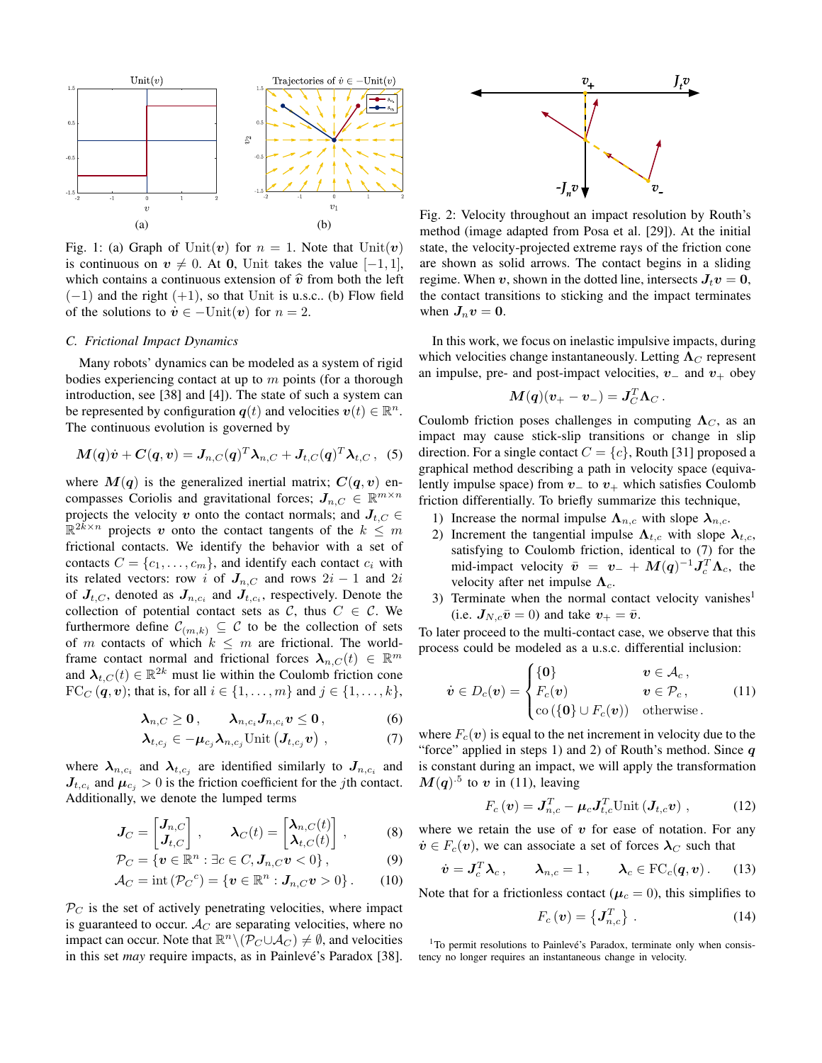

Fig. 1: (a) Graph of Unit(v) for  $n = 1$ . Note that Unit(v) is continuous on  $v \neq 0$ . At 0, Unit takes the value  $[-1, 1]$ , which contains a continuous extension of  $\hat{v}$  from both the left  $(-1)$  and the right  $(+1)$ , so that Unit is u.s.c.. (b) Flow field of the solutions to  $\dot{v} \in -\text{Unit}(\boldsymbol{v})$  for  $n = 2$ .

## C. Frictional Impact Dynamics

Many robots' dynamics can be modeled as a system of rigid bodies experiencing contact at up to  $m$  points (for a thorough introduction, see [38] and [4]). The state of such a system can be represented by configuration  $q(t)$  and velocities  $v(t) \in \mathbb{R}^n$ . The continuous evolution is governed by

$$
\mathbf{M}(\mathbf{q})\dot{\mathbf{v}} + \mathbf{C}(\mathbf{q}, \mathbf{v}) = \mathbf{J}_{n,C}(\mathbf{q})^T \boldsymbol{\lambda}_{n,C} + \mathbf{J}_{t,C}(\mathbf{q})^T \boldsymbol{\lambda}_{t,C}, \tag{5}
$$

where  $M(q)$  is the generalized inertial matrix;  $C(q, v)$  encompasses Coriolis and gravitational forces;  $J_{n,C} \in \mathbb{R}^{m \times n}$ projects the velocity v onto the contact normals; and  $J_{t,C} \in$  $\mathbb{R}^{2k \times n}$  projects v onto the contact tangents of the  $k \leq m$ frictional contacts. We identify the behavior with a set of contacts  $C = \{c_1, \ldots, c_m\}$ , and identify each contact  $c_i$  with its related vectors: row i of  $J_{n,C}$  and rows  $2i-1$  and  $2i$ of  $J_{t,C}$ , denoted as  $J_{n,c_i}$  and  $J_{t,c_i}$ , respectively. Denote the collection of potential contact sets as C, thus  $C \in \mathcal{C}$ . We furthermore define  $\mathcal{C}_{(m,k)} \subseteq \mathcal{C}$  to be the collection of sets of m contacts of which  $k \leq m$  are frictional. The worldframe contact normal and frictional forces  $\lambda_{n,C}(t) \in \mathbb{R}^m$ and  $\lambda_{t,C}(t) \in \mathbb{R}^{2k}$  must lie within the Coulomb friction cone  $FC_C(q, v)$ ; that is, for all  $i \in \{1, ..., m\}$  and  $j \in \{1, ..., k\}$ ,

$$
\lambda_{n,C} \geq 0, \qquad \lambda_{n,c_i} J_{n,c_i} v \leq 0, \qquad \qquad (6)
$$

$$
\boldsymbol{\lambda}_{t,c_j} \in -\boldsymbol{\mu}_{c_j} \boldsymbol{\lambda}_{n,c_j} \text{Unit} \left( \boldsymbol{J}_{t,c_j} \boldsymbol{v} \right) , \qquad (7)
$$

where  $\lambda_{n,c_i}$  and  $\lambda_{t,c_j}$  are identified similarly to  $J_{n,c_i}$  and  $J_{t,c_i}$  and  $\mu_{c_i} > 0$  is the friction coefficient for the *j*th contact. Additionally, we denote the lumped terms

$$
\boldsymbol{J}_C = \begin{bmatrix} \boldsymbol{J}_{n,C} \\ \boldsymbol{J}_{t,C} \end{bmatrix}, \qquad \boldsymbol{\lambda}_C(t) = \begin{bmatrix} \boldsymbol{\lambda}_{n,C}(t) \\ \boldsymbol{\lambda}_{t,C}(t) \end{bmatrix}, \tag{8}
$$

$$
\mathcal{P}_C = \{ \boldsymbol{v} \in \mathbb{R}^n : \exists c \in C, \boldsymbol{J}_{n,C} \boldsymbol{v} < 0 \},\tag{9}
$$

$$
\mathcal{A}_C = \text{int}\left(\mathcal{P}_C{}^c\right) = \left\{ \boldsymbol{v} \in \mathbb{R}^n : \boldsymbol{J}_{n,C}\boldsymbol{v} > 0 \right\}. \tag{10}
$$

 $P_C$  is the set of actively penetrating velocities, where impact is guaranteed to occur.  $\mathcal{A}_{C}$  are separating velocities, where no impact can occur. Note that  $\mathbb{R}^n \setminus (\mathcal{P}_C \cup \mathcal{A}_C) \neq \emptyset$ , and velocities in this set *may* require impacts, as in Painlevé's Paradox [38].



Fig. 2: Velocity throughout an impact resolution by Routh's method (image adapted from Posa et al. [29]). At the initial state, the velocity-projected extreme rays of the friction cone are shown as solid arrows. The contact begins in a sliding regime. When v, shown in the dotted line, intersects  $J_t v = 0$ , the contact transitions to sticking and the impact terminates when  $J_n v = 0$ .

In this work, we focus on inelastic impulsive impacts, during which velocities change instantaneously. Letting  $\Lambda_C$  represent an impulse, pre- and post-impact velocities,  $v_$  and  $v_+$  obey

$$
\boldsymbol{M}(\boldsymbol{q})(\boldsymbol{v}_+-\boldsymbol{v}_-) = \boldsymbol{J}_C^T\boldsymbol{\Lambda}_C
$$

Coulomb friction poses challenges in computing  $\Lambda_C$ , as an impact may cause stick-slip transitions or change in slip direction. For a single contact  $C = \{c\}$ , Routh [31] proposed a graphical method describing a path in velocity space (equivalently impulse space) from  $v_-$  to  $v_+$  which satisfies Coulomb friction differentially. To briefly summarize this technique,

- 1) Increase the normal impulse  $\Lambda_{n,c}$  with slope  $\lambda_{n,c}$ .
- 2) Increment the tangential impulse  $\Lambda_{t,c}$  with slope  $\lambda_{t,c}$ , satisfying to Coulomb friction, identical to (7) for the mid-impact velocity  $\bar{v} = v_- + M(q)^{-1} J_c^T \Lambda_c$ , the velocity after net impulse  $\Lambda_c$ .
- 3) Terminate when the normal contact velocity vanishes<sup>1</sup> (i.e.  $J_{N,c}\bar{v} = 0$ ) and take  $v_{+} = \bar{v}$ .

To later proceed to the multi-contact case, we observe that this process could be modeled as a u.s.c. differential inclusion:

$$
\dot{\boldsymbol{v}} \in D_c(\boldsymbol{v}) = \begin{cases} \{ \boldsymbol{0} \} & \boldsymbol{v} \in \mathcal{A}_c, \\ F_c(\boldsymbol{v}) & \boldsymbol{v} \in \mathcal{P}_c, \\ \text{co} \left( \{ \boldsymbol{0} \} \cup F_c(\boldsymbol{v}) \right) & \text{otherwise.} \end{cases}
$$
(11)

where  $F_c(v)$  is equal to the net increment in velocity due to the "force" applied in steps 1) and 2) of Routh's method. Since  $q$ is constant during an impact, we will apply the transformation  $M(q)^{.5}$  to v in (11), leaving

$$
F_c\left(\boldsymbol{v}\right) = \boldsymbol{J}_{n,c}^T - \boldsymbol{\mu}_c \boldsymbol{J}_{t,c}^T \text{Unit}\left(\boldsymbol{J}_{t,c}\boldsymbol{v}\right),\tag{12}
$$

where we retain the use of  $v$  for ease of notation. For any  $\dot{\boldsymbol{v}} \in F_c(\boldsymbol{v})$ , we can associate a set of forces  $\lambda_C$  such that

$$
\mathbf{b} = \mathbf{J}_c^T \boldsymbol{\lambda}_c, \qquad \boldsymbol{\lambda}_{n,c} = 1, \qquad \boldsymbol{\lambda}_c \in \text{FC}_c(\boldsymbol{q}, \boldsymbol{v}). \tag{13}
$$

Note that for a frictionless contact ( $\mu_c = 0$ ), this simplifies to

$$
F_c\left(\boldsymbol{v}\right) = \left\{\boldsymbol{J}_{n,c}^T\right\} \,. \tag{14}
$$

<sup>&</sup>lt;sup>1</sup>To permit resolutions to Painlevé's Paradox, terminate only when consistency no longer requires an instantaneous change in velocity.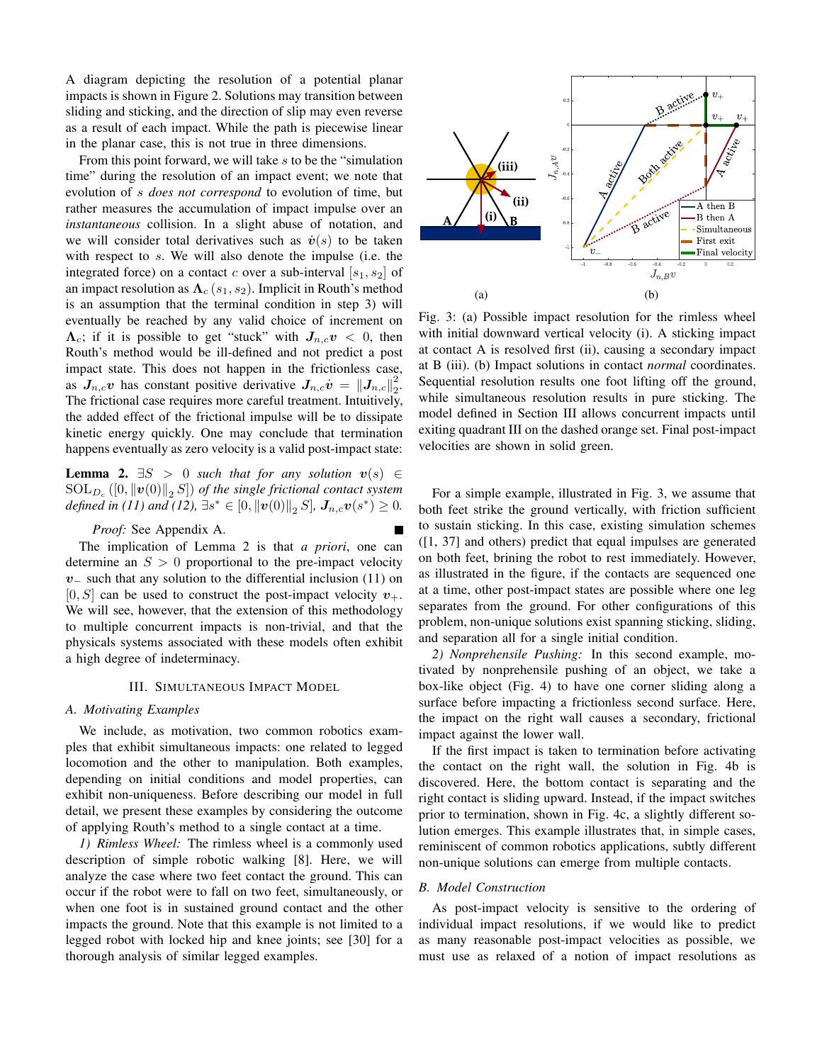A diagram depicting the resolution of a potential planar impacts is shown in Figure 2. Solutions may transition between sliding and sticking, and the direction of slip may even reverse as a result of each impact. While the path is piecewise linear in the planar case, this is not true in three dimensions.

From this point forward, we will take s to be the "simulation" time" during the resolution of an impact event; we note that evolution of *s* does not correspond to evolution of time, but rather measures the accumulation of impact impulse over an *instantaneous* collision. In a slight abuse of notation, and we will consider total derivatives such as  $\dot{v}(s)$  to be taken with respect to  $s$ . We will also denote the impulse (i.e. the integrated force) on a contact c over a sub-interval  $[s_1, s_2]$  of an impact resolution as  $\Lambda_c(s_1, s_2)$ . Implicit in Routh's method is an assumption that the terminal condition in step 3) will eventually be reached by any valid choice of increment on  $\Lambda_c$ ; if it is possible to get "stuck" with  $J_{n,c}v < 0$ , then Routh's method would be ill-defined and not predict a post impact state. This does not happen in the frictionless case, as  $J_{n,c}v$  has constant positive derivative  $J_{n,c}\dot{v} = ||J_{n,c}||_2^2$ . The frictional case requires more careful treatment. Intuitively, the added effect of the frictional impulse will be to dissipate kinetic energy quickly. One may conclude that termination happens eventually as zero velocity is a valid post-impact state:

**Lemma 2.**  $\exists S > 0$  such that for any solution  $v(s) \in$  $SOL_{D_c}([0, ||v(0)||_2 S])$  of the single frictional contact system *defined in (11) and (12)*,  $\exists s^* \in [0, ||v(0)||_2 S]$ ,  $J_{n,c}v(s^*) \geq 0$ .

## Proof: See Appendix A.

The implication of Lemma 2 is that a priori, one can determine an  $S > 0$  proportional to the pre-impact velocity  $v_{-}$  such that any solution to the differential inclusion (11) on  $[0, S]$  can be used to construct the post-impact velocity  $v_{+}$ . We will see, however, that the extension of this methodology to multiple concurrent impacts is non-trivial, and that the physicals systems associated with these models often exhibit a high degree of indeterminacy.

#### **III. SIMULTANEOUS IMPACT MODEL**

# A. Motivating Examples

We include, as motivation, two common robotics examples that exhibit simultaneous impacts: one related to legged locomotion and the other to manipulation. Both examples, depending on initial conditions and model properties, can exhibit non-uniqueness. Before describing our model in full detail, we present these examples by considering the outcome of applying Routh's method to a single contact at a time.

1) Rimless Wheel: The rimless wheel is a commonly used description of simple robotic walking [8]. Here, we will analyze the case where two feet contact the ground. This can occur if the robot were to fall on two feet, simultaneously, or when one foot is in sustained ground contact and the other impacts the ground. Note that this example is not limited to a legged robot with locked hip and knee joints; see [30] for a thorough analysis of similar legged examples.



Fig. 3: (a) Possible impact resolution for the rimless wheel with initial downward vertical velocity (i). A sticking impact at contact A is resolved first (ii), causing a secondary impact at B (iii). (b) Impact solutions in contact *normal* coordinates. Sequential resolution results one foot lifting off the ground, while simultaneous resolution results in pure sticking. The model defined in Section III allows concurrent impacts until exiting quadrant III on the dashed orange set. Final post-impact velocities are shown in solid green.

For a simple example, illustrated in Fig. 3, we assume that both feet strike the ground vertically, with friction sufficient to sustain sticking. In this case, existing simulation schemes  $(1, 37]$  and others) predict that equal impulses are generated on both feet, brining the robot to rest immediately. However, as illustrated in the figure, if the contacts are sequenced one at a time, other post-impact states are possible where one leg separates from the ground. For other configurations of this problem, non-unique solutions exist spanning sticking, sliding, and separation all for a single initial condition.

2) Nonprehensile Pushing: In this second example, motivated by nonprehensile pushing of an object, we take a box-like object (Fig. 4) to have one corner sliding along a surface before impacting a frictionless second surface. Here, the impact on the right wall causes a secondary, frictional impact against the lower wall.

If the first impact is taken to termination before activating the contact on the right wall, the solution in Fig. 4b is discovered. Here, the bottom contact is separating and the right contact is sliding upward. Instead, if the impact switches prior to termination, shown in Fig. 4c, a slightly different solution emerges. This example illustrates that, in simple cases, reminiscent of common robotics applications, subtly different non-unique solutions can emerge from multiple contacts.

# **B.** Model Construction

As post-impact velocity is sensitive to the ordering of individual impact resolutions, if we would like to predict as many reasonable post-impact velocities as possible, we must use as relaxed of a notion of impact resolutions as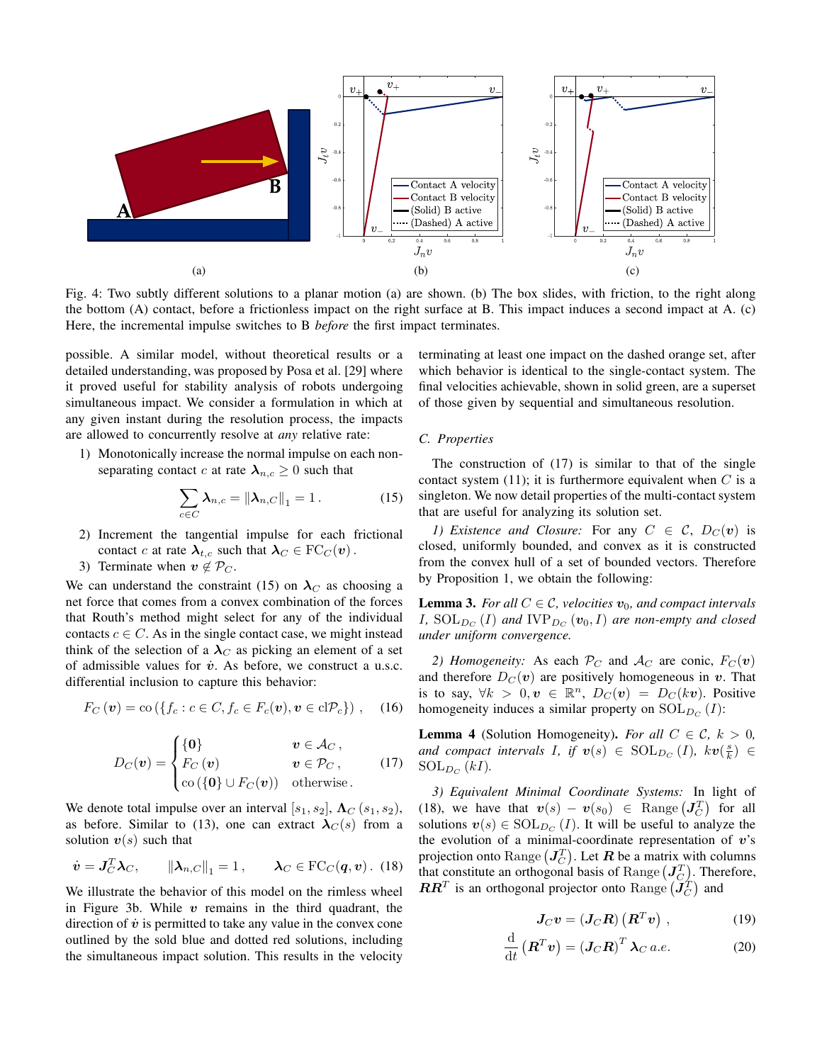

Fig. 4: Two subtly different solutions to a planar motion (a) are shown. (b) The box slides, with friction, to the right along the bottom (A) contact, before a frictionless impact on the right surface at B. This impact induces a second impact at A. (c) Here, the incremental impulse switches to B *before* the first impact terminates.

possible. A similar model, without theoretical results or a detailed understanding, was proposed by Posa et al. [29] where it proved useful for stability analysis of robots undergoing simultaneous impact. We consider a formulation in which at any given instant during the resolution process, the impacts are allowed to concurrently resolve at *any* relative rate:

1) Monotonically increase the normal impulse on each nonseparating contact c at rate  $\lambda_{n,c} \geq 0$  such that

$$
\sum_{c \in C} \lambda_{n,c} = \left\| \lambda_{n,C} \right\|_1 = 1. \tag{15}
$$

- 2) Increment the tangential impulse for each frictional contact c at rate  $\lambda_{t,c}$  such that  $\lambda_C \in \mathrm{FC}_C(v)$ .
- 3) Terminate when  $v \notin \mathcal{P}_C$ .

We can understand the constraint (15) on  $\lambda_c$  as choosing a net force that comes from a convex combination of the forces that Routh's method might select for any of the individual contacts  $c \in C$ . As in the single contact case, we might instead think of the selection of a  $\lambda_C$  as picking an element of a set of admissible values for  $\dot{v}$ . As before, we construct a u.s.c. differential inclusion to capture this behavior:

$$
F_C(\boldsymbol{v}) = \text{co}\left(\{f_c : c \in C, f_c \in F_c(\boldsymbol{v}), \boldsymbol{v} \in \text{cl} \mathcal{P}_c\}\right), \quad (16)
$$

$$
D_C(\mathbf{v}) = \begin{cases} \{ \mathbf{0} \} & \mathbf{v} \in \mathcal{A}_C, \\ F_C(\mathbf{v}) & \mathbf{v} \in \mathcal{P}_C, \\ \text{co}(\{ \mathbf{0} \} \cup F_C(\mathbf{v})) & \text{otherwise.} \end{cases}
$$
(17)

We denote total impulse over an interval [ $s_1, s_2$ ],  $\Lambda_C(s_1, s_2)$ , as before. Similar to (13), one can extract  $\lambda_C(s)$  from a solution  $v(s)$  such that

$$
\dot{\boldsymbol{v}} = \boldsymbol{J}_C^T \boldsymbol{\lambda}_C, \qquad \|\boldsymbol{\lambda}_{n,C}\|_1 = 1, \qquad \boldsymbol{\lambda}_C \in \text{FC}_C(\boldsymbol{q}, \boldsymbol{v}) \, . \tag{18}
$$

We illustrate the behavior of this model on the rimless wheel in Figure 3b. While  $v$  remains in the third quadrant, the direction of  $\dot{v}$  is permitted to take any value in the convex cone outlined by the sold blue and dotted red solutions, including the simultaneous impact solution. This results in the velocity terminating at least one impact on the dashed orange set, after which behavior is identical to the single-contact system. The final velocities achievable, shown in solid green, are a superset of those given by sequential and simultaneous resolution.

#### C. Properties

The construction of  $(17)$  is similar to that of the single contact system (11); it is furthermore equivalent when  $C$  is a singleton. We now detail properties of the multi-contact system that are useful for analyzing its solution set.

1) Existence and Closure: For any  $C \in \mathcal{C}$ ,  $D_C(v)$  is closed, uniformly bounded, and convex as it is constructed from the convex hull of a set of bounded vectors. Therefore by Proposition 1, we obtain the following:

**Lemma 3.** For all  $C \in \mathcal{C}$ , velocities  $v_0$ , and compact intervals I,  $SOL_{D_C}(I)$  and  $IVP_{D_C}(v_0, I)$  are non-empty and closed under uniform convergence.

2) Homogeneity: As each  $P_C$  and  $A_C$  are conic,  $F_C(v)$ and therefore  $D<sub>C</sub>(v)$  are positively homogeneous in v. That is to say,  $\forall k > 0, v \in \mathbb{R}^n$ ,  $D_C(v) = D_C(kv)$ . Positive homogeneity induces a similar property on  $SOL_{D_C}(I)$ :

**Lemma 4** (Solution Homogeneity). For all  $C \in \mathcal{C}$ ,  $k > 0$ , and compact intervals I, if  $v(s) \in \text{SOL}_{D_C}(I)$ ,  $kv(\frac{s}{k}) \in$  $SOL_{D_C}(kI).$ 

3) Equivalent Minimal Coordinate Systems: In light of (18), we have that  $v(s) - v(s_0) \in \text{Range}(\mathbf{J}_C^T)$  for all solutions  $v(s) \in SOL_{D_{C}}(I)$ . It will be useful to analyze the the evolution of a minimal-coordinate representation of  $v$ 's projection onto Range  $(J_C^T)$ . Let R be a matrix with columns that constitute an orthogonal basis of Range  $(J_C^T)$ . Therefore,  $\boldsymbol{R}\boldsymbol{R}^T$  is an orthogonal projector onto Range  $(\boldsymbol{J}_C^T)$  and

$$
J_C v = (J_C R) (R^T v) , \qquad (19)
$$

$$
\frac{\mathrm{d}}{\mathrm{d}t}\left(\boldsymbol{R}^T\boldsymbol{v}\right) = \left(\boldsymbol{J}_C\boldsymbol{R}\right)^T\boldsymbol{\lambda}_C\,a.e.\tag{20}
$$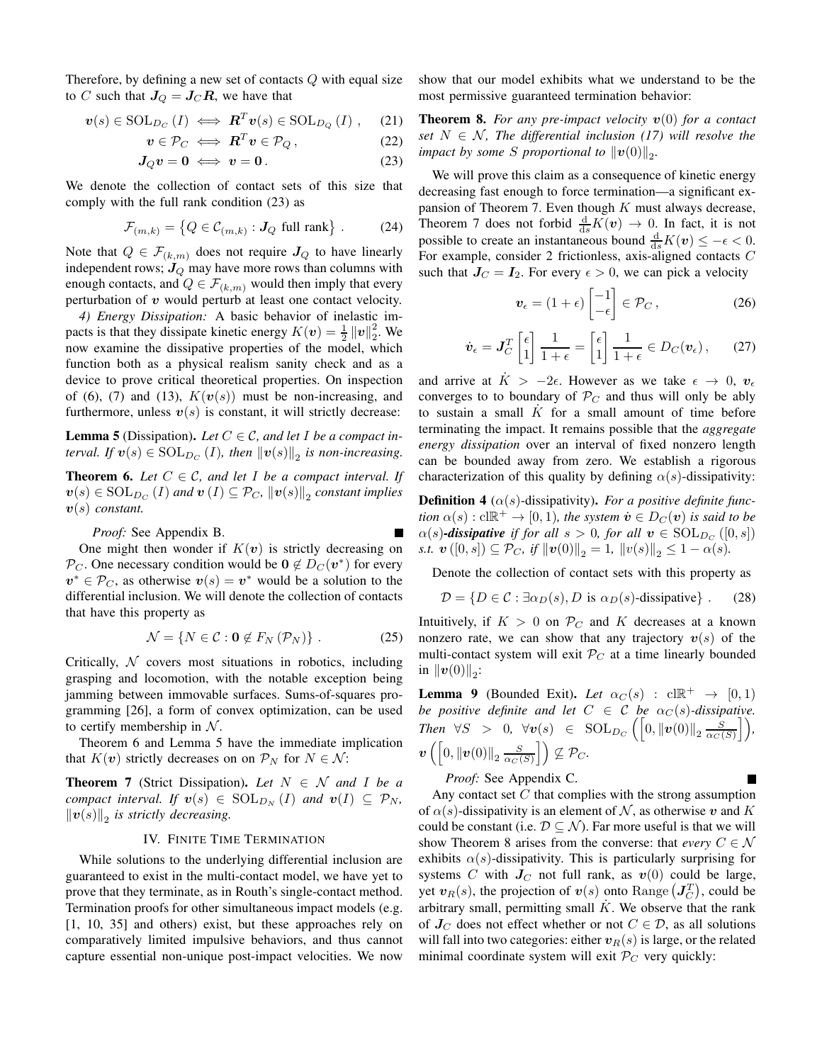Therefore, by defining a new set of contacts  $Q$  with equal size to C such that  $J_Q = J_C R$ , we have that

$$
\boldsymbol{v}(s) \in \text{SOL}_{D_C}(I) \iff \boldsymbol{R}^T \boldsymbol{v}(s) \in \text{SOL}_{D_Q}(I) ,\quad (21)
$$

$$
\boldsymbol{v} \in \mathcal{P}_C \iff \boldsymbol{R}^T \boldsymbol{v} \in \mathcal{P}_Q \,, \tag{22}
$$

$$
J_Q v = 0 \iff v = 0. \tag{23}
$$

We denote the collection of contact sets of this size that comply with the full rank condition (23) as

$$
\mathcal{F}_{(m,k)} = \left\{ Q \in \mathcal{C}_{(m,k)} : J_Q \text{ full rank} \right\}. \tag{24}
$$

Note that  $Q \in \mathcal{F}_{(k,m)}$  does not require  $J_Q$  to have linearly independent rows;  $J_Q$  may have more rows than columns with enough contacts, and  $Q \in \mathcal{F}_{(k,m)}$  would then imply that every perturbation of  $v$  would perturb at least one contact velocity.

4) Energy Dissipation: A basic behavior of inelastic impacts is that they dissipate kinetic energy  $K(v) = \frac{1}{2} ||v||_2^2$ . We now examine the dissipative properties of the model, which function both as a physical realism sanity check and as a device to prove critical theoretical properties. On inspection of (6), (7) and (13),  $K(v(s))$  must be non-increasing, and furthermore, unless  $v(s)$  is constant, it will strictly decrease:

**Lemma 5** (Dissipation). Let  $C \in \mathcal{C}$ , and let I be a compact interval. If  $\mathbf{v}(s) \in \text{SOL}_{D_C}(I)$ , then  $\|\mathbf{v}(s)\|_2$  is non-increasing.

**Theorem 6.** Let  $C \in \mathcal{C}$ , and let I be a compact interval. If  $\mathbf{v}(s) \in \text{SOL}_{D_C}(I)$  and  $\mathbf{v}(I) \subseteq \mathcal{P}_C$ ,  $\|\mathbf{v}(s)\|_2$  constant implies  $v(s)$  constant.

Proof: See Appendix B.

One might then wonder if  $K(v)$  is strictly decreasing on  $\mathcal{P}_C$ . One necessary condition would be  $0 \notin D_C(v^*)$  for every  $v^* \in \mathcal{P}_C$ , as otherwise  $v(s) = v^*$  would be a solution to the differential inclusion. We will denote the collection of contacts that have this property as

$$
\mathcal{N} = \{ N \in \mathcal{C} : \mathbf{0} \notin F_N \left( \mathcal{P}_N \right) \} . \tag{25}
$$

Critically,  $\mathcal N$  covers most situations in robotics, including grasping and locomotion, with the notable exception being jamming between immovable surfaces. Sums-of-squares programming [26], a form of convex optimization, can be used to certify membership in  $\mathcal N$ .

Theorem 6 and Lemma 5 have the immediate implication that  $K(v)$  strictly decreases on on  $\mathcal{P}_N$  for  $N \in \mathcal{N}$ :

**Theorem 7** (Strict Dissipation). Let  $N \in \mathcal{N}$  and I be a compact interval. If  $v(s) \in SOL_{D_N}(I)$  and  $v(I) \subseteq P_N$ ,  $\|v(s)\|_2$  is strictly decreasing.

### IV. FINITE TIME TERMINATION

While solutions to the underlying differential inclusion are. guaranteed to exist in the multi-contact model, we have yet to prove that they terminate, as in Routh's single-contact method. Termination proofs for other simultaneous impact models (e.g.  $[1, 10, 35]$  and others) exist, but these approaches rely on comparatively limited impulsive behaviors, and thus cannot capture essential non-unique post-impact velocities. We now show that our model exhibits what we understand to be the most permissive guaranteed termination behavior:

**Theorem 8.** For any pre-impact velocity  $v(0)$  for a contact set  $N \in \mathcal{N}$ , The differential inclusion (17) will resolve the impact by some S proportional to  $||v(0)||_2$ .

We will prove this claim as a consequence of kinetic energy decreasing fast enough to force termination-a significant expansion of Theorem 7. Even though  $K$  must always decrease, Theorem 7 does not forbid  $\frac{d}{ds}K(v) \rightarrow 0$ . In fact, it is not possible to create an instantaneous bound  $\frac{d}{ds}K(v) \le -\epsilon < 0$ . For example, consider 2 frictionless, axis-aligned contacts  $C$ such that  $J_C = I_2$ . For every  $\epsilon > 0$ , we can pick a velocity

$$
\boldsymbol{v}_{\epsilon} = (1 + \epsilon) \begin{bmatrix} -1 \\ -\epsilon \end{bmatrix} \in \mathcal{P}_C , \qquad (26)
$$

$$
\dot{\boldsymbol{v}}_{\epsilon} = \boldsymbol{J}_C^T \begin{bmatrix} \epsilon \\ 1 \end{bmatrix} \frac{1}{1+\epsilon} = \begin{bmatrix} \epsilon \\ 1 \end{bmatrix} \frac{1}{1+\epsilon} \in D_C(\boldsymbol{v}_{\epsilon}), \qquad (27)
$$

and arrive at  $\dot{K} > -2\epsilon$ . However as we take  $\epsilon \to 0$ ,  $v_{\epsilon}$ converges to to boundary of  $P_C$  and thus will only be ably to sustain a small  $\overline{K}$  for a small amount of time before terminating the impact. It remains possible that the *aggregate* energy dissipation over an interval of fixed nonzero length can be bounded away from zero. We establish a rigorous characterization of this quality by defining  $\alpha(s)$ -dissipativity:

**Definition 4** ( $\alpha(s)$ -dissipativity). For a positive definite function  $\alpha(s) : \text{cl} \mathbb{R}^+ \to [0,1)$ , the system  $\dot{v} \in D_C(v)$  is said to be  $\alpha(s)$ -dissipative if for all  $s > 0$ , for all  $v \in SOL_{D_C}([0, s])$ s.t.  $\mathbf{v}([0,s]) \subseteq \mathcal{P}_C$ , if  $\|\mathbf{v}(0)\|_2 = 1$ ,  $\|v(s)\|_2 \leq 1 - \alpha(s)$ .

Denote the collection of contact sets with this property as

$$
\mathcal{D} = \{ D \in \mathcal{C} : \exists \alpha_D(s), D \text{ is } \alpha_D(s) \text{-dissipative} \} .
$$
 (28)

Intuitively, if  $K > 0$  on  $\mathcal{P}_C$  and K decreases at a known nonzero rate, we can show that any trajectory  $v(s)$  of the multi-contact system will exit  $P_C$  at a time linearly bounded in  $\|v(0)\|_{2}$ :

**Lemma 9** (Bounded Exit). Let  $\alpha_C(s)$  :  $cl \mathbb{R}^+ \rightarrow [0,1]$ be positive definite and let  $C \in \mathcal{C}$  be  $\alpha_C(s)$ -dissipative. Then  $\forall S > 0$ ,  $\forall v(s) \in SOL_{DC}\left(\left[0, ||v(0)||_2 \frac{S}{\alpha_C(S)}\right]\right)$ ,  $\boldsymbol{v}\left(\left[0,\left\|\boldsymbol{v}(0)\right\|_2\frac{S}{\alpha_C(S)}\right]\right)\nsubseteq \mathcal{P}_C.$ П

*Proof:* See Appendix C.

Any contact set  $C$  that complies with the strong assumption of  $\alpha(s)$ -dissipativity is an element of N, as otherwise v and K could be constant (i.e.  $\mathcal{D} \subseteq \mathcal{N}$ ). Far more useful is that we will show Theorem 8 arises from the converse: that *every*  $C \in \mathcal{N}$ exhibits  $\alpha(s)$ -dissipativity. This is particularly surprising for systems C with  $J_C$  not full rank, as  $v(0)$  could be large, yet  $v_R(s)$ , the projection of  $v(s)$  onto Range  $(J_C^T)$ , could be arbitrary small, permitting small  $\hat{K}$ . We observe that the rank of  $J_C$  does not effect whether or not  $C \in \mathcal{D}$ , as all solutions will fall into two categories: either  $v_R(s)$  is large, or the related minimal coordinate system will exit  $P_C$  very quickly: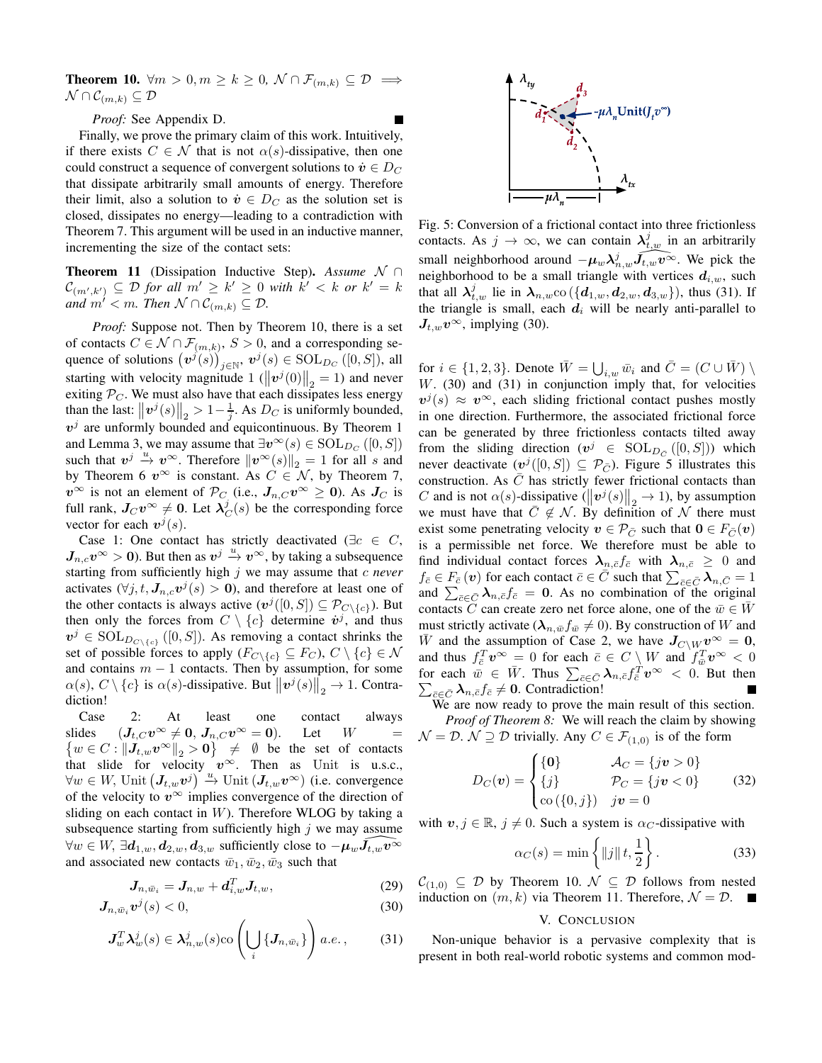**Theorem 10.**  $\forall m > 0, m \geq k \geq 0, \ N \cap \mathcal{F}_{(m,k)} \subseteq \mathcal{D} \implies$  $\mathcal{N} \cap \mathcal{C}_{(m,k)} \subseteq \mathcal{D}$ 

Proof: See Appendix D.

Finally, we prove the primary claim of this work. Intuitively, if there exists  $C \in \mathcal{N}$  that is not  $\alpha(s)$ -dissipative, then one could construct a sequence of convergent solutions to  $\dot{v} \in D_C$ that dissipate arbitrarily small amounts of energy. Therefore their limit, also a solution to  $\dot{v} \in D_C$  as the solution set is closed, dissipates no energy—leading to a contradiction with Theorem 7. This argument will be used in an inductive manner, incrementing the size of the contact sets:

**Theorem 11** (Dissipation Inductive Step). Assume  $\mathcal{N} \cap$  $\mathcal{C}_{(m',k')} \subseteq \mathcal{D}$  for all  $m' \geq k' \geq 0$  with  $k' < k$  or  $k' = k$ and  $m' < m$ . Then  $\mathcal{N} \cap C_{(m,k)} \subseteq \mathcal{D}$ .

*Proof:* Suppose not. Then by Theorem 10, there is a set of contacts  $C \in \mathcal{N} \cap \mathcal{F}_{(m,k)}, S > 0$ , and a corresponding sequence of solutions  $(v^{j}(s))_{i\in\mathbb{N}}$ ,  $v^{j}(s) \in \text{SOL}_{D_C}([0, S])$ , all starting with velocity magnitude 1  $(\Vert v^j(0) \Vert_2 = 1)$  and never exiting  $P_C$ . We must also have that each dissipates less energy than the last:  $||v^j(s)||_2 > 1 - \frac{1}{i}$ . As  $D_C$  is uniformly bounded,  $v^j$  are unformly bounded and equicontinuous. By Theorem 1 and Lemma 3, we may assume that  $\exists v^{\infty}(s) \in \text{SOL}_{D_C}([0, S])$ such that  $v^j \stackrel{u}{\rightarrow} v^{\infty}$ . Therefore  $||v^{\infty}(s)||_2 = 1$  for all s and by Theorem 6  $v^{\infty}$  is constant. As  $C \in \mathcal{N}$ , by Theorem 7,  $v^{\infty}$  is not an element of  $\mathcal{P}_C$  (i.e.,  $J_{n,C}v^{\infty} \ge 0$ ). As  $J_C$  is full rank,  $J_C v^{\infty} \neq 0$ . Let  $\lambda_C^j(s)$  be the corresponding force vector for each  $v^j(s)$ .

Case 1: One contact has strictly deactivated ( $\exists c \in C$ ,  $J_{n,c}v^{\infty} > 0$ ). But then as  $v^j \stackrel{u}{\rightarrow} v^{\infty}$ , by taking a subsequence starting from sufficiently high  $j$  we may assume that  $c$  never activates  $(\forall j, t, J_{n,c} v^j(s) > 0)$ , and therefore at least one of the other contacts is always active  $(\mathbf{v}^j([0, S]) \subseteq \mathcal{P}_{C \setminus \{c\}})$ . But then only the forces from  $C \setminus \{c\}$  determine  $\dot{v}^j$ , and thus  $v^j \in SOL_{D_{C \setminus \{c\}}([0, S])}$ . As removing a contact shrinks the set of possible forces to apply  $(F_{C \setminus \{c\}} \subseteq F_C)$ ,  $C \setminus \{c\} \in \mathcal{N}$ and contains  $m-1$  contacts. Then by assumption, for some  $\alpha(s)$ ,  $C \setminus \{c\}$  is  $\alpha(s)$ -dissipative. But  $||\boldsymbol{v}^{j}(s)||_{2} \to 1$ . Contradiction!

Case At  $2:$ least one contact always  $(\textit{\textbf{J}}_{t,C}\textit{\textbf{v}}^{\infty}\neq\textbf{0},\textit{\textbf{J}}_{n,C}\textit{\textbf{v}}^{\infty}=\textbf{0}).$ slides Let  $W$  $\{w \in C : ||J_{t,w}v^{\infty}||_{2} > 0\} \neq \emptyset$  be the set of contacts that slide for velocity  $v^{\infty}$ . Then as Unit is u.s.c.,  $\forall w \in W$ , Unit  $(J_{t,w}v^j) \stackrel{u}{\rightarrow}$  Unit  $(J_{t,w}v^{\infty})$  (i.e. convergence of the velocity to  $v^{\infty}$  implies convergence of the direction of sliding on each contact in  $W$ ). Therefore WLOG by taking a subsequence starting from sufficiently high  $j$  we may assume  $\forall w \in W$ ,  $\exists d_{1,w}, d_{2,w}, d_{3,w}$  sufficiently close to  $-\mu_w J_{t,w} v^{\infty}$ and associated new contacts  $\bar{w}_1, \bar{w}_2, \bar{w}_3$  such that

$$
\mathbf{J}_{n,\bar{w}_i} = \mathbf{J}_{n,w} + \mathbf{d}_{i,w}^T \mathbf{J}_{t,w},\tag{29}
$$

$$
J_{n,\bar{w}_i}v^j(s) < 0,\tag{30}
$$

$$
\boldsymbol{J}_w^T \boldsymbol{\lambda}_w^j(s) \in \boldsymbol{\lambda}_{n,w}^j(s) \text{co}\left(\bigcup_i \{\boldsymbol{J}_{n,\bar{w}_i}\}\right) a.e.,\qquad(31)
$$



Fig. 5: Conversion of a frictional contact into three frictionless contacts. As  $j \to \infty$ , we can contain  $\lambda_{t,w}^j$  in an arbitrarily small neighborhood around  $-\mu_w \lambda_{n,w}^j \tilde{J}_{t,w} v^{\tilde{\infty}}$ . We pick the neighborhood to be a small triangle with vertices  $d_{i,w}$ , such that all  $\lambda_{t,w}^j$  lie in  $\lambda_{n,w}$ co  $(\{d_{1,w}, d_{2,w}, d_{3,w}\})$ , thus (31). If the triangle is small, each  $d_i$  will be nearly anti-parallel to  $J_{t,w}v^{\infty}$ , implying (30).

for  $i \in \{1,2,3\}$ . Denote  $\overline{W} = \bigcup_{i,w} \overline{w}_i$  and  $\overline{C} = (C \cup \overline{W}) \setminus \overline{W}$  $W.$  (30) and (31) in conjunction imply that, for velocities  $v^{j}(s) \approx v^{\infty}$ , each sliding frictional contact pushes mostly in one direction. Furthermore, the associated frictional force can be generated by three frictionless contacts tilted away from the sliding direction  $(v^j \in SOL_{D_{\tilde{C}}}([0, S]))$  which never deactivate  $(v^j([0, S]) \subseteq \mathcal{P}_{\overline{C}})$ . Figure 5 illustrates this construction. As  $C$  has strictly fewer frictional contacts than C and is not  $\alpha(s)$ -dissipative  $(\Vert v^j(s) \Vert_2 \to 1)$ , by assumption we must have that  $C \notin \mathcal{N}$ . By definition of  $\mathcal N$  there must exist some penetrating velocity  $v \in \mathcal{P}_{\bar{C}}$  such that  $0 \in F_{\bar{C}}(v)$ is a permissible net force. We therefore must be able to find individual contact forces  $\lambda_{n,\bar{c}} f_{\bar{c}}$  with  $\lambda_{n,\bar{c}} \geq 0$  and  $f_{\bar{c}} \in F_{\bar{c}}(v)$  for each contact  $\bar{c} \in C$  such that  $\sum_{\bar{c} \in \bar{C}} \lambda_{n,\bar{C}} = 1$ and  $\sum_{\bar{c}\in\bar{C}}\lambda_{n,\bar{c}}f_{\bar{c}}=0$ . As no combination of the original contacts C can create zero net force alone, one of the  $\bar{w} \in W$ must strictly activate  $(\lambda_{n,\bar{w}}f_{\bar{w}}\neq 0)$ . By construction of W and  $\overline{W}$  and the assumption of Case 2, we have  $J_{C\setminus W}v^{\infty} = 0$ , and thus  $f_{\bar{c}}^T \mathbf{v}^{\infty} = 0$  for each  $\bar{c} \in C \setminus W$  and  $f_{\bar{w}}^T \mathbf{v}^{\infty} < 0$ for each  $\bar{w} \in \bar{W}$ . Thus  $\sum_{\bar{c} \in \bar{C}} \lambda_{n,\bar{c}} f_{\bar{c}}^T v^{\infty} < 0$ . But then  $\sum_{\bar{c}\in\bar{C}} \lambda_{n,\bar{c}} f_{\bar{c}} \neq 0$ . Contradiction!

We are now ready to prove the main result of this section. *Proof of Theorem 8:* We will reach the claim by showing  $\mathcal{N} = \mathcal{D}$ .  $\mathcal{N} \supseteq \mathcal{D}$  trivially. Any  $C \in \mathcal{F}_{(1,0)}$  is of the form

$$
D_C(\mathbf{v}) = \begin{cases} \{0\} & \mathcal{A}_C = \{j\mathbf{v} > 0\} \\ \{j\} & \mathcal{P}_C = \{j\mathbf{v} < 0\} \\ \text{co}(\{0, j\}) & j\mathbf{v} = 0 \end{cases}
$$
(32)

with  $v, j \in \mathbb{R}, j \neq 0$ . Such a system is  $\alpha_C$ -dissipative with

$$
\alpha_C(s) = \min\left\{ \|j\| \, t, \frac{1}{2} \right\}.
$$
\n(33)

 $\mathcal{C}_{(1,0)} \subseteq \mathcal{D}$  by Theorem 10.  $\mathcal{N} \subseteq \mathcal{D}$  follows from nested induction on  $(m, k)$  via Theorem 11. Therefore,  $\mathcal{N} = \mathcal{D}$ .

# V. CONCLUSION

Non-unique behavior is a pervasive complexity that is present in both real-world robotic systems and common mod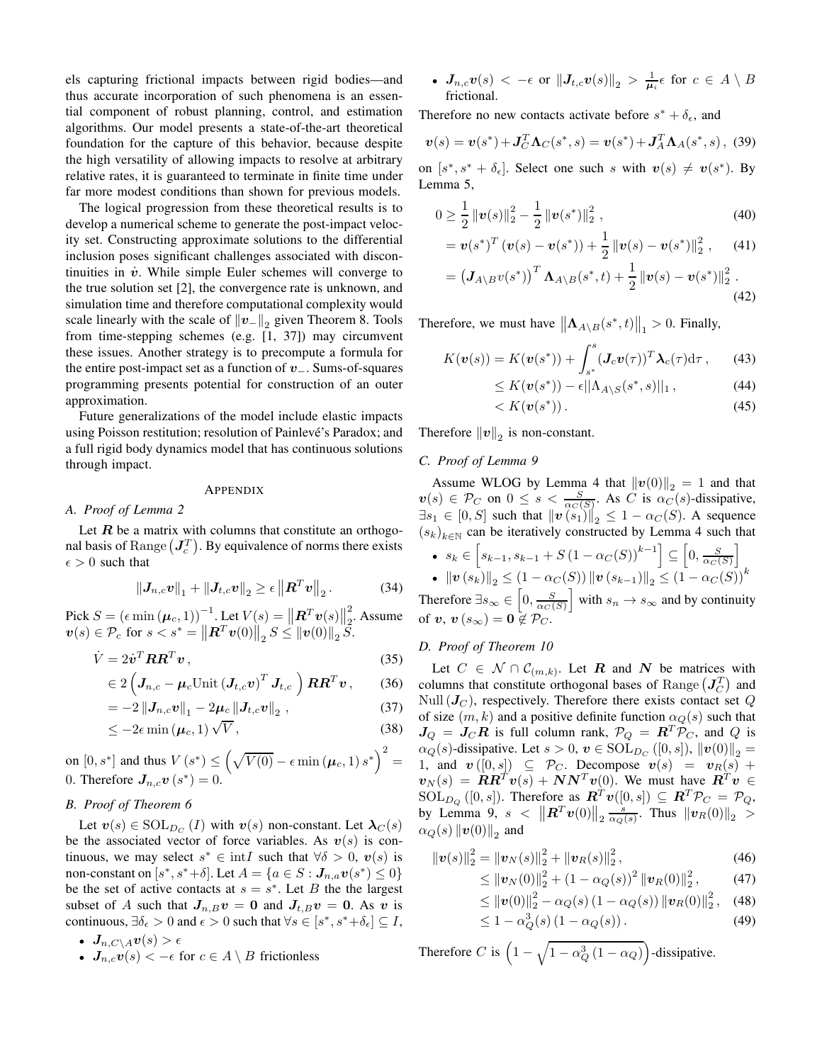els capturing frictional impacts between rigid bodies—and thus accurate incorporation of such phenomena is an essential component of robust planning, control, and estimation algorithms. Our model presents a state-of-the-art theoretical foundation for the capture of this behavior, because despite the high versatility of allowing impacts to resolve at arbitrary relative rates, it is guaranteed to terminate in finite time under far more modest conditions than shown for previous models.

The logical progression from these theoretical results is to develop a numerical scheme to generate the post-impact velocity set. Constructing approximate solutions to the differential inclusion poses significant challenges associated with discontinuities in  $\dot{v}$ . While simple Euler schemes will converge to the true solution set [2], the convergence rate is unknown, and simulation time and therefore computational complexity would scale linearly with the scale of  $||v_||_2$  given Theorem 8. Tools from time-stepping schemes (e.g.  $[1, 37]$ ) may circumvent these issues. Another strategy is to precompute a formula for the entire post-impact set as a function of  $v_$ . Sums-of-squares programming presents potential for construction of an outer approximation.

Future generalizations of the model include elastic impacts using Poisson restitution; resolution of Painlevé's Paradox; and a full rigid body dynamics model that has continuous solutions through impact.

#### APPENDIX

# A. Proof of Lemma 2

Let  $R$  be a matrix with columns that constitute an orthogonal basis of Range  $(J_c^T)$ . By equivalence of norms there exists  $\epsilon > 0$  such that

$$
\left\|\bm{J}_{n,c}\bm{v}\right\|_{1}+\left\|\bm{J}_{t,c}\bm{v}\right\|_{2}\geq\epsilon\left\|\bm{R}^{T}\bm{v}\right\|_{2}.\tag{34}
$$

Pick  $S = (\epsilon \min(\mu_c, 1))^{-1}$ . Let  $V(s) = ||R^T v(s)||_2^2$ . Assume  $\bm{v}(s) \in \mathcal{P}_c$  for  $s < s^* = ||\bm{R}^T \bm{v}(0)||_2 S \le ||\bm{v}(0)||_2 S$ .

$$
\dot{V} = 2\dot{v}^T \boldsymbol{R} \boldsymbol{R}^T \boldsymbol{v} \,, \tag{35}
$$

$$
\in 2\left(\boldsymbol{J}_{n,c}-\boldsymbol{\mu}_c\text{Unit}\left(\boldsymbol{J}_{t,c}\boldsymbol{v}\right)^T\boldsymbol{J}_{t,c}\right)\boldsymbol{R}\boldsymbol{R}^T\boldsymbol{v}\,,\qquad(36)
$$

$$
= -2\left\|J_{n,c}v\right\|_{1} - 2\mu_{c}\left\|J_{t,c}v\right\|_{2}, \qquad (37)
$$

$$
\leq -2\epsilon \min\left(\boldsymbol{\mu}_c, 1\right) \sqrt{V},\tag{38}
$$

on  $[0,s^*]$  and thus  $V\left(s^*\right)\leq \left(\sqrt{V(0)}-\epsilon\min\left(\mu_c,1\right)s^*\right)^2=0.$  Therefore  $\textit{\textbf{J}}_{n,c}\textit{\textbf{v}}\left(s^*\right)=0.$ 

# B. Proof of Theorem 6

Let  $v(s) \in \text{SOL}_{D_C}(I)$  with  $v(s)$  non-constant. Let  $\lambda_C(s)$ be the associated vector of force variables. As  $v(s)$  is continuous, we may select  $s^* \in \text{int } I$  such that  $\forall \delta > 0$ ,  $v(s)$  is non-constant on  $[s^*, s^* + \delta]$ . Let  $A = \{a \in S : J_{n,a}v(s^*) \leq 0\}$ be the set of active contacts at  $s = s^*$ . Let B the the largest subset of A such that  $J_{n,B}v = 0$  and  $J_{t,B}v = 0$ . As v is continuous,  $\exists \delta_{\epsilon} > 0$  and  $\epsilon > 0$  such that  $\forall s \in [s^*, s^* + \delta_{\epsilon}] \subseteq I$ ,

- $\bullet$   $J_{n.C \setminus A}v(s) > \epsilon$
- $J_{n,c}v(s) < -\epsilon$  for  $c \in A \setminus B$  frictionless

• 
$$
J_{n,c}v(s) < -\epsilon
$$
 or  $||J_{t,c}v(s)||_2 > \frac{1}{\mu_i} \epsilon$  for  $c \in A \setminus B$  frictional.

Therefore no new contacts activate before  $s^* + \delta_{\epsilon}$ , and

$$
\mathbf{v}(s) = \mathbf{v}(s^*) + \mathbf{J}_C^T \mathbf{\Lambda}_C(s^*, s) = \mathbf{v}(s^*) + \mathbf{J}_A^T \mathbf{\Lambda}_A(s^*, s), \tag{39}
$$

on  $[s^*, s^* + \delta_\epsilon]$ . Select one such s with  $v(s) \neq v(s^*)$ . By Lemma 5,

$$
0 \ge \frac{1}{2} ||\boldsymbol{v}(s)||_2^2 - \frac{1}{2} ||\boldsymbol{v}(s^*)||_2^2 , \qquad (40)
$$

$$
= \boldsymbol{v}(s^*)^T \left( \boldsymbol{v}(s) - \boldsymbol{v}(s^*) \right) + \frac{1}{2} \left\| \boldsymbol{v}(s) - \boldsymbol{v}(s^*) \right\|_2^2, \qquad (41)
$$

$$
= \left(\mathbf{J}_{A\setminus B}v(s^*)\right)^T \mathbf{\Lambda}_{A\setminus B}(s^*,t) + \frac{1}{2} \left\|v(s) - v(s^*)\right\|_2^2. \tag{42}
$$

Therefore, we must have  $\|\mathbf{\Lambda}_{A\setminus B}(s^*,t)\|_1 > 0$ . Finally,

$$
K(\boldsymbol{v}(s)) = K(\boldsymbol{v}(s^*)) + \int_{s^*}^{s} (\boldsymbol{J}_c \boldsymbol{v}(\tau))^T \boldsymbol{\lambda}_c(\tau) d\tau, \qquad (43)
$$

$$
\leq K(\boldsymbol{v}(s^*)) - \epsilon ||\Lambda_{A \setminus S}(s^*, s)||_1 , \qquad (44)
$$

$$
K(\mathbf{v}(s^*))\,. \tag{45}
$$

Therefore  $||v||_2$  is non-constant.

 $\lt$ 

# C. Proof of Lemma 9

Assume WLOG by Lemma 4 that  $||\boldsymbol{v}(0)||_2 = 1$  and that  $\boldsymbol{v}(s) \in \mathcal{P}_C$  on  $0 \le s < \frac{S}{\alpha_C(S)}$ . As C is  $\alpha_C(s)$ -dissipative,  $\exists s_1 \in [0, S]$  such that  $||\boldsymbol{v}(s_1)||_2 \le 1 - \alpha_C(S)$ . A sequence  $(s_k)_{k \in \mathbb{N}}$  can be iteratively constructed by Lemma 4 such that

•  $s_k \in [s_{k-1}, s_{k-1} + S(1 - \alpha_C(S))^{k-1}] \subseteq [0, \frac{S}{\alpha_C(S)}]$ <br>•  $\|\mathbf{v}(s_k)\|_2 \leq (1 - \alpha_C(S)) \|\mathbf{v}(s_{k-1})\|_2 \leq (1 - \alpha_C(S))^k$ 

Therefore  $\exists s_{\infty} \in \left[0, \frac{S}{\alpha_C(S)}\right]$  with  $s_n \to s_{\infty}$  and by continuity of  $v, v(s_{\infty}) = 0 \notin \mathcal{P}_C$ .

# D. Proof of Theorem 10

Let  $C \in \mathcal{N} \cap \mathcal{C}_{(m,k)}$ . Let **R** and **N** be matrices with columns that constitute orthogonal bases of Range  $(J_C^T)$  and Null  $(J_C)$ , respectively. Therefore there exists contact set Q of size  $(m, k)$  and a positive definite function  $\alpha_Q(s)$  such that  $J_Q = J_C R$  is full column rank,  $\mathcal{P}_Q = R^T \mathcal{P}_C$ , and Q is  $\alpha_Q(s)$ -dissipative. Let  $s > 0$ ,  $v \in \text{SOL}_{D_C}([0, s])$ ,  $||v(0)||_2 =$ 1, and  $\mathbf{v}([0,s]) \subseteq \mathcal{P}_C$ . Decompose  $\mathbf{v}(s) = \mathbf{v}_R(s) +$  $\mathbf{v}_N(s) = \mathbf{R}\mathbf{R}^T \mathbf{v}(s) + \mathbf{N}\mathbf{N}^T \mathbf{v}(0)$ . We must have  $\mathbf{R}^T \mathbf{v} \in$  $SOL_{D_Q}([0, s])$ . Therefore as  $\mathbb{R}^T v([0, s]) \subseteq \mathbb{R}^T \mathcal{P}_C = \mathcal{P}_Q$ , by Lemma 9,  $s < ||R^T v(0)||_2 \frac{s}{\alpha O(s)}$ . Thus  $||v_R(0)||_2 >$  $\alpha_Q(s) ||\boldsymbol{v}(0)||_2$  and

$$
\|\mathbf{v}(s)\|_{2}^{2} = \|\mathbf{v}_{N}(s)\|_{2}^{2} + \|\mathbf{v}_{R}(s)\|_{2}^{2},\tag{46}
$$

$$
\leq ||\boldsymbol{v}_N(0)||_2^2 + (1 - \alpha_Q(s))^2 ||\boldsymbol{v}_R(0)||_2^2, \qquad (47)
$$
  

$$
< ||\boldsymbol{v}(0)||_2^2 - \alpha_Q(s) (1 - \alpha_Q(s)) ||\boldsymbol{v}_R(0)||_2^2, \qquad (48)
$$

$$
\leq \|v(0)\|_2^2 - \alpha_Q(s) (1 - \alpha_Q(s)) \|v_R(0)\|_2^2, \quad (48)
$$

$$
\leq 1 - \alpha_Q^3(s) \left(1 - \alpha_Q(s)\right). \tag{49}
$$

Therefore C is  $\left(1-\sqrt{1-\alpha_Q^3\left(1-\alpha_Q\right)}\right)$ -dissipative.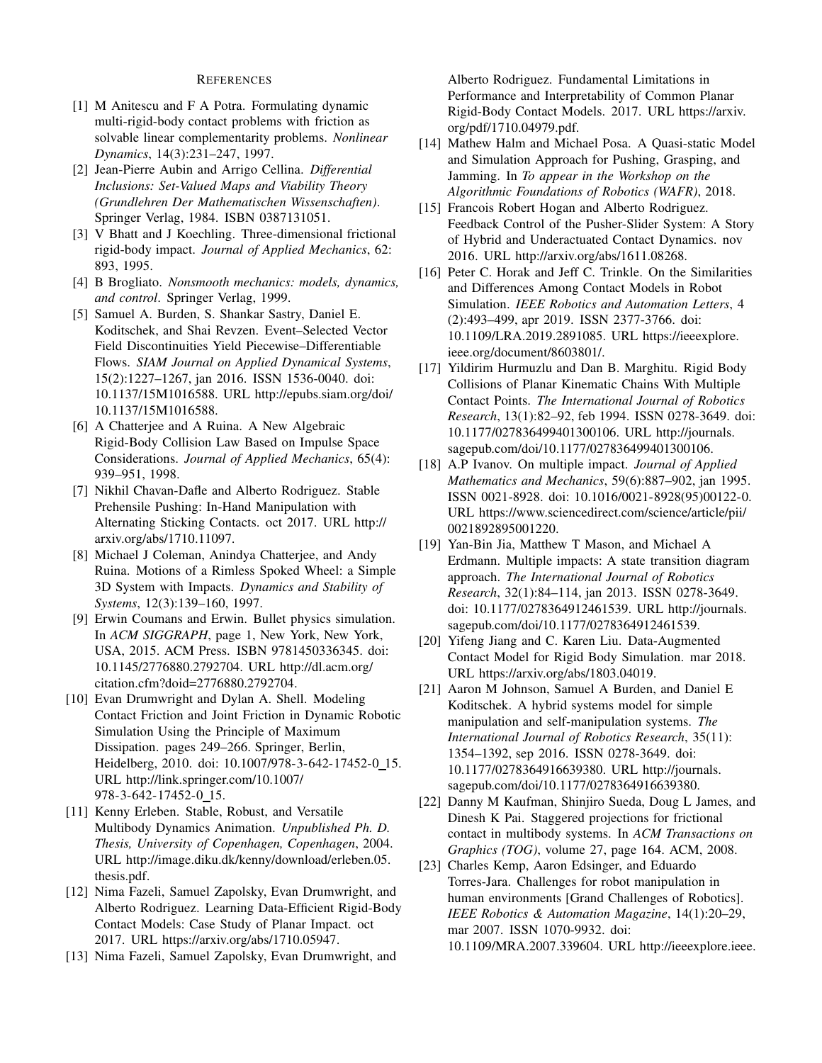# **REFERENCES**

- [1] M Anitescu and F A Potra. Formulating dynamic multi-rigid-body contact problems with friction as solvable linear complementarity problems. Nonlinear Dynamics, 14(3):231-247, 1997.
- [2] Jean-Pierre Aubin and Arrigo Cellina. Differential Inclusions: Set-Valued Maps and Viability Theory (Grundlehren Der Mathematischen Wissenschaften). Springer Verlag, 1984. ISBN 0387131051.
- [3] V Bhatt and J Koechling. Three-dimensional frictional rigid-body impact. Journal of Applied Mechanics, 62: 893, 1995.
- [4] B Brogliato. Nonsmooth mechanics: models, dynamics, and control. Springer Verlag, 1999.
- [5] Samuel A. Burden, S. Shankar Sastry, Daniel E. Koditschek, and Shai Revzen. Event-Selected Vector Field Discontinuities Yield Piecewise-Differentiable Flows. SIAM Journal on Applied Dynamical Systems, 15(2):1227-1267, jan 2016. ISSN 1536-0040. doi: 10.1137/15M1016588. URL http://epubs.siam.org/doi/ 10.1137/15M1016588.
- [6] A Chatterjee and A Ruina. A New Algebraic Rigid-Body Collision Law Based on Impulse Space Considerations. Journal of Applied Mechanics, 65(4): 939-951, 1998.
- [7] Nikhil Chavan-Dafle and Alberto Rodriguez. Stable Prehensile Pushing: In-Hand Manipulation with Alternating Sticking Contacts. oct 2017. URL http:// arxiv.org/abs/1710.11097.
- [8] Michael J Coleman, Anindya Chatterjee, and Andy Ruina. Motions of a Rimless Spoked Wheel: a Simple 3D System with Impacts. Dynamics and Stability of Systems, 12(3):139-160, 1997.
- [9] Erwin Coumans and Erwin. Bullet physics simulation. In ACM SIGGRAPH, page 1, New York, New York, USA, 2015. ACM Press. ISBN 9781450336345. doi: 10.1145/2776880.2792704. URL http://dl.acm.org/ citation.cfm?doid=2776880.2792704.
- [10] Evan Drumwright and Dylan A. Shell. Modeling Contact Friction and Joint Friction in Dynamic Robotic Simulation Using the Principle of Maximum Dissipation. pages 249–266. Springer, Berlin, Heidelberg, 2010. doi: 10.1007/978-3-642-17452-0\_15. URL http://link.springer.com/10.1007/ 978-3-642-17452-0\_15.
- [11] Kenny Erleben. Stable, Robust, and Versatile Multibody Dynamics Animation. Unpublished Ph. D. Thesis, University of Copenhagen, Copenhagen, 2004. URL http://image.diku.dk/kenny/download/erleben.05. thesis.pdf.
- [12] Nima Fazeli, Samuel Zapolsky, Evan Drumwright, and Alberto Rodriguez. Learning Data-Efficient Rigid-Body Contact Models: Case Study of Planar Impact. oct 2017. URL https://arxiv.org/abs/1710.05947.
- [13] Nima Fazeli, Samuel Zapolsky, Evan Drumwright, and

Alberto Rodriguez. Fundamental Limitations in Performance and Interpretability of Common Planar Rigid-Body Contact Models. 2017. URL https://arxiv. org/pdf/1710.04979.pdf.

- [14] Mathew Halm and Michael Posa. A Quasi-static Model and Simulation Approach for Pushing, Grasping, and Jamming. In To appear in the Workshop on the Algorithmic Foundations of Robotics (WAFR), 2018.
- [15] Francois Robert Hogan and Alberto Rodriguez. Feedback Control of the Pusher-Slider System: A Story of Hybrid and Underactuated Contact Dynamics. nov 2016. URL http://arxiv.org/abs/1611.08268.
- [16] Peter C. Horak and Jeff C. Trinkle. On the Similarities and Differences Among Contact Models in Robot Simulation. IEEE Robotics and Automation Letters, 4 (2):493-499, apr 2019. ISSN 2377-3766. doi: 10.1109/LRA.2019.2891085. URL https://ieeexplore. ieee.org/document/8603801/.
- [17] Yildirim Hurmuzlu and Dan B. Marghitu. Rigid Body Collisions of Planar Kinematic Chains With Multiple Contact Points. The International Journal of Robotics Research, 13(1):82-92, feb 1994. ISSN 0278-3649. doi: 10.1177/027836499401300106. URL http://journals. sagepub.com/doi/10.1177/027836499401300106.
- [18] A.P Ivanov. On multiple impact. Journal of Applied Mathematics and Mechanics, 59(6):887-902, jan 1995. ISSN 0021-8928. doi: 10.1016/0021-8928(95)00122-0. URL https://www.sciencedirect.com/science/article/pii/ 0021892895001220.
- [19] Yan-Bin Jia, Matthew T Mason, and Michael A Erdmann. Multiple impacts: A state transition diagram approach. The International Journal of Robotics Research, 32(1):84-114, jan 2013. ISSN 0278-3649. doi: 10.1177/0278364912461539. URL http://journals. sagepub.com/doi/10.1177/0278364912461539.
- [20] Yifeng Jiang and C. Karen Liu. Data-Augmented Contact Model for Rigid Body Simulation. mar 2018. URL https://arxiv.org/abs/1803.04019.
- [21] Aaron M Johnson, Samuel A Burden, and Daniel E Koditschek. A hybrid systems model for simple manipulation and self-manipulation systems. The International Journal of Robotics Research, 35(11): 1354-1392, sep 2016. ISSN 0278-3649. doi: 10.1177/0278364916639380. URL http://journals. sagepub.com/doi/10.1177/0278364916639380.
- [22] Danny M Kaufman, Shinjiro Sueda, Doug L James, and Dinesh K Pai. Staggered projections for frictional contact in multibody systems. In ACM Transactions on Graphics (TOG), volume 27, page 164. ACM, 2008.
- [23] Charles Kemp, Aaron Edsinger, and Eduardo Torres-Jara. Challenges for robot manipulation in human environments [Grand Challenges of Robotics]. IEEE Robotics & Automation Magazine, 14(1):20-29, mar 2007. ISSN 1070-9932. doi: 10.1109/MRA.2007.339604. URL http://ieeexplore.ieee.